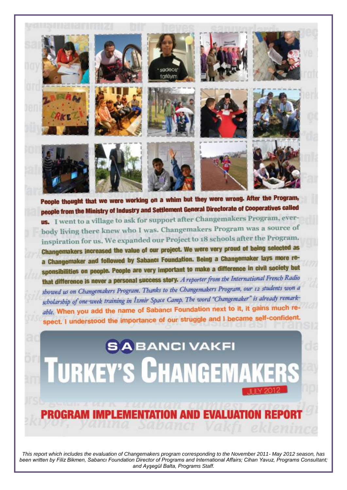

people from the Ministry of Industry and Settlement General Directorate of Cooperatives called us. I went to a village to ask for support after Changemakers Program, everbody living there knew who I was. Changemakers Program was a source of inspiration for us. We expanded our Project to 18 schools after the Program. Changemakers increased the value of our project. We were very proud of being selected as a Changemaker and followed by Sabancı Foundation. Being a Changemaker lays more responsibilities on people. People are very important to make a difference in civil society but that difference is never a personal success story. A reporter from the International French Radio showed us on Changemakers Program. Thanks to the Changemakers Program, our 12 students won a scholarship of one-week training in Izmir Space Camp. The word "Changemaker" is already remarkable. When you add the name of Sabanci Foundation next to it, it gains much respect. I understood the importance of our struggle and I became self-confident.

**SABANCIVAKFI TURKEY'S CHANGEMAKERS** 

# **PROGRAM IMPLEMENTATION AND EVALUATION**

*This report which includes the evaluation of Changemakers program corresponding to the November 2011- May 2012 season, has been written by Filiz Bikmen, Sabancı Foundation Director of Programs and International Affairs; Cihan Yavuz, Programs Consultant; and Ayşegül Balta, Programs Staff.*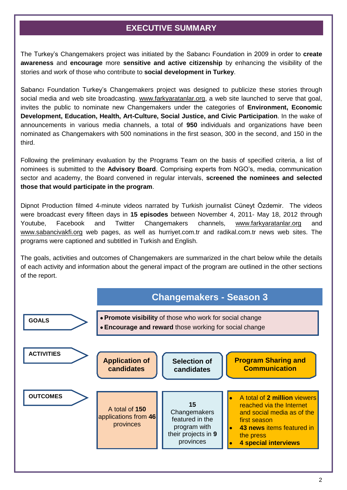## **EXECUTIVE SUMMARY**

The Turkey's Changemakers project was initiated by the Sabancı Foundation in 2009 in order to **create awareness** and **encourage** more **sensitive and active citizenship** by enhancing the visibility of the stories and work of those who contribute to **social development in Turkey**.

Sabancı Foundation Turkey's Changemakers project was designed to publicize these stories through social media and web site broadcasting. [www.farkyaratanlar.org,](http://www.farkyaratanlar.org/) a web site launched to serve that goal, invites the public to nominate new Changemakers under the categories of **Environment, Economic Development, Education, Health, Art-Culture, Social Justice, and Civic Participation**. In the wake of announcements in various media channels, a total of **950** individuals and organizations have been nominated as Changemakers with 500 nominations in the first season, 300 in the second, and 150 in the third.

Following the preliminary evaluation by the Programs Team on the basis of specified criteria, a list of nominees is submitted to the **Advisory Board**. Comprising experts from NGO's, media, communication sector and academy, the Board convened in regular intervals, **screened the nominees and selected those that would participate in the program**.

Dipnot Production filmed 4-minute videos narrated by Turkish journalist Cüneyt Özdemir. The videos were broadcast every fifteen days in **15 episodes** between November 4, 2011- May 18, 2012 through Youtube, Facebook and Twitter Changemakers channels, [www.farkyaratanlar.org](http://www.farkyaratanlar.org/) and [www.sabancivakfi.org](http://www.sabancivakfi.org/) web pages, as well as hurriyet.com.tr and radikal.com.tr news web sites. The programs were captioned and subtitled in Turkish and English.

The goals, activities and outcomes of Changemakers are summarized in the chart below while the details of each activity and information about the general impact of the program are outlined in the other sections of the report.

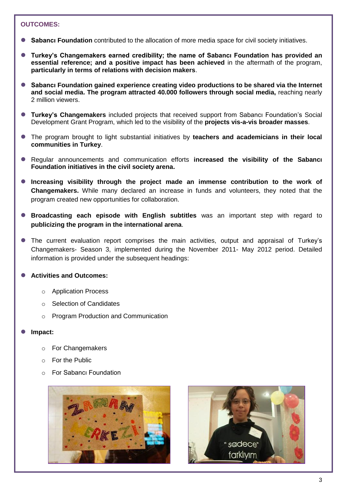#### **OUTCOMES:**

- **Sabancı Foundation** contributed to the allocation of more media space for civil society initiatives.
- **Turkey's Changemakers earned credibility; the name of Sabancı Foundation has provided an essential reference; and a positive impact has been achieved** in the aftermath of the program, **particularly in terms of relations with decision makers**.
- **Sabancı Foundation gained experience creating video productions to be shared via the Internet and social media. The program attracted 40.000 followers through social media,** reaching nearly 2 million viewers.
- **Turkey's Changemakers** included projects that received support from Sabancı Foundation's Social Development Grant Program, which led to the visibility of the **projects vis-a-vis broader masses**.
- The program brought to light substantial initiatives by **teachers and academicians in their local communities in Turkey**.
- Regular announcements and communication efforts **increased the visibility of the Sabancı Foundation initiatives in the civil society arena.**
- **Increasing visibility through the project made an immense contribution to the work of Changemakers.** While many declared an increase in funds and volunteers, they noted that the program created new opportunities for collaboration.
- **Broadcasting each episode with English subtitles** was an important step with regard to **publicizing the program in the international arena**.
- The current evaluation report comprises the main activities, output and appraisal of Turkey's Changemakers- Season 3, implemented during the November 2011- May 2012 period. Detailed information is provided under the subsequent headings:

## **Activities and Outcomes:**

- o Application Process
- o Selection of Candidates
- o Program Production and Communication

#### **Impact:**

- o For Changemakers
- o For the Public
- o For Sabancı Foundation



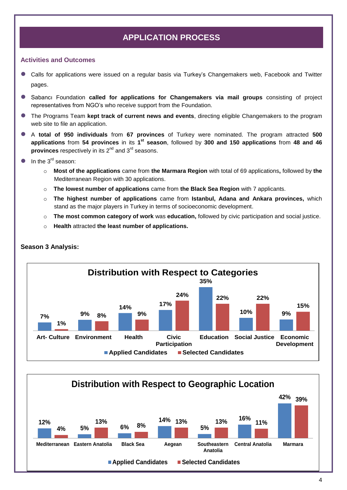# **APPLICATION PROCESS**

#### **Activities and Outcomes**

- Calls for applications were issued on a regular basis via Turkey's Changemakers web, Facebook and Twitter pages.
- Sabancı Foundation **called for applications for Changemakers via mail groups** consisting of project representatives from NGO's who receive support from the Foundation.
- The Programs Team **kept track of current news and events**, directing eligible Changemakers to the program web site to file an application.
- A **total of 950 individuals** from **67 provinces** of Turkey were nominated. The program attracted **500 applications** from **54 provinces** in its **1 st season**, followed by **300 and 150 applications** from **48 and 46 provinces** respectively in its 2<sup>nd</sup> and 3<sup>rd</sup> seasons.
- In the  $3^{rd}$  season:
	- o **Most of the applications** came from **the Marmara Region** with total of 69 applications**,** followed by **the**  Mediterranean Region with 30 applications.
	- o **The lowest number of applications** came from **the Black Sea Region** with 7 applicants.
	- o **The highest number of applications** came from **Istanbul, Adana and Ankara provinces,** which stand as the major players in Turkey in terms of socioeconomic development.
	- o **The most common category of work** was **education,** followed by civic participation and social justice.
	- o **Health** attracted **the least number of applications.**



#### **Season 3 Analysis:**

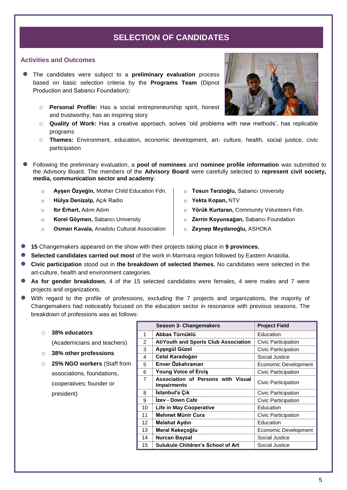## **SELECTION OF CANDIDATES**

#### **Activities and Outcomes**

- The candidates were subject to a **preliminary evaluation** process based on basic selection criteria by the **Programs Team** (Dipnot Production and Sabancı Foundation)**:** 
	- o **Personal Profile:** Has a social entrepreneurship spirit, honest and trustworthy, has an inspiring story
	- o **Quality of Work:** Has a creative approach, solves 'old problems with new methods', has replicable programs
	- o **Themes:** Environment, education, economic development, art- culture, health, social justice, civic participation
- Following the preliminary evaluation, a **pool of nominees** and **nominee profile information** was submitted to the Advisory Board. The members of the **Advisory Board** were carefully selected to **represent civil society, media, communication sector and academy**:
	- o **Ayşen Özyeğin,** Mother Child Education Fdn. o **Hülya Denizalp,** Açık Radio o **Itır Erhart,** Adım Adım o **Korel Göymen,** Sabancı University o **Osman Kavala,** Anadolu Cultural Association o **Tosun Terzioğlu,** Sabancı University o **Yekta Kopan,** NTV o **Yörük Kurtaran,** Community Volunteers Fdn. o **Zerrin Koyunsağan,** Sabancı Foundation o **Zeynep Meydanoğlu,** ASHOKA
- **15** Changemakers appeared on the show with their projects taking place in **9 provinces.**
- Selected candidates carried out most of the work in Marmara region followed by Eastern Anatolia.
- **Civic participation** stood out in **the breakdown of selected themes.** No candidates were selected in the art-culture, health and environment categories.
- **As for gender breakdown**, 4 of the 15 selected candidates were females, 4 were males and 7 were projects and organizations.
- With regard to the profile of professions, excluding the 7 projects and organizations, the majority of Changemakers had noticeably focused on the education sector in resonance with previous seasons. The breakdown of professions was as follows:
	- o **38% educators**

(Academicians and teachers)

- o **38% other professions**
- o **25% NGO workers** (Staff from associations, foundations, cooperatives; founder or president)

|                | Season 5- Changemakers                                   | <b>Project Field</b> |  |
|----------------|----------------------------------------------------------|----------------------|--|
|                | Abbas Türnüklü<br>Education                              |                      |  |
| $\mathfrak{p}$ | <b>AtiYouth and Sports Club Association</b>              | Civic Participation  |  |
| 3              | Ayşegül Güzel                                            | Civic Participation  |  |
| 4              | Celal Karadoğan                                          | Social Justice       |  |
| 5              | Enver Özkahraman                                         | Economic Development |  |
| 6              | <b>Young Voice of Ercis</b>                              | Civic Participation  |  |
| 7              | Association of Persons with Visual<br><b>Impairments</b> | Civic Participation  |  |
| 8              | <b>Istanbul'a Çık</b>                                    | Civic Participation  |  |
| 9              | Izev - Down Cafe                                         | Civic Participation  |  |
| 10             | <b>Life in May Cooperative</b>                           | Education            |  |
| 11             | Mehmet Münir Cura                                        | Civic Participation  |  |
| 12             | <b>Melahat Aydın</b>                                     | Education            |  |
| 13             | Meral Kekeçoğlu<br>Economic Development                  |                      |  |
| 14             | <b>Nurcan Baysal</b>                                     | Social Justice       |  |
| 15             | <b>Sulukule Children's School of Art</b>                 | Social Justice       |  |

 **Season 3- Changemakers Project Field**

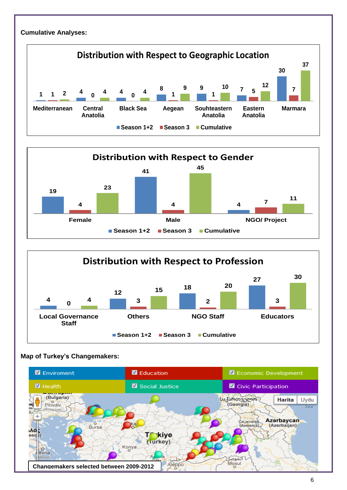#### **Cumulative Analyses:**







## **Map of Turkey's Changemakers:**

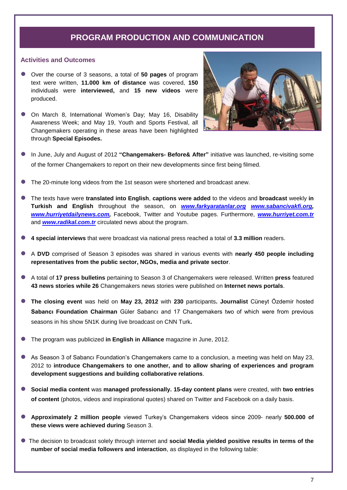## **PROGRAM PRODUCTION AND COMMUNICATION**

#### **Activities and Outcomes**

- Over the course of 3 seasons, a total of **50 pages** of program text were written, **11.000 km of distance** was covered, **150**  individuals were **interviewed,** and **15 new videos** were produced.
- On March 8, International Women's Day; May 16, Disability Awareness Week; and May 19, Youth and Sports Festival, all Changemakers operating in these areas have been highlighted through **Special Episodes.**



- In June, July and August of 2012 **"Changemakers- Before& After"** initiative was launched, re-visiting some of the former Changemakers to report on their new developments since first being filmed.
- The 20-minute long videos from the 1st season were shortened and broadcast anew.
- The texts have were **translated into English**, **captions were added** to the videos and **broadcast** weekly **in Turkish and English** throughout the season, on *[www.farkyaratanlar.org](http://www.farkyaratanlar.org/) [www.sabancivakfi.org,](http://www.sabancivakfi.org/) [www.hurriyetdailynews.com,](http://www.hurriyetdailynews.com/)* Facebook, Twitter and Youtube pages. Furthermore, *[www.hurriyet.com.tr](http://www.hurriyet.com.tr/)* and *[www.radikal.com.tr](http://www.radikal.com.tr/)* circulated news about the program.
- **4 special interviews** that were broadcast via national press reached a total of **3.3 million** readers.
- A **DVD** comprised of Season 3 episodes was shared in various events with **nearly 450 people including representatives from the public sector, NGOs, media and private sector**.
- A total of **17 press bulletins** pertaining to Season 3 of Changemakers were released. Written **press** featured **43 news stories while 26** Changemakers news stories were published on **Internet news portals**.
- **The closing event** was held on **May 23, 2012** with **230** participants**. Journalist** Cüneyt Özdemir hosted **Sabancı Foundation Chairman** Güler Sabancı and 17 Changemakers two of which were from previous seasons in his show 5N1K during live broadcast on CNN Turk**.**
- The program was publicized **in English in Alliance** magazine in June, 2012.
- As Season 3 of Sabancı Foundation's Changemakers came to a conclusion, a meeting was held on May 23, 2012 to **introduce Changemakers to one another, and to allow sharing of experiences and program development suggestions and building collaborative relations**.
- **Social media content** was **managed professionally. 15-day content plans** were created, with **two entries of content** (photos, videos and inspirational quotes) shared on Twitter and Facebook on a daily basis.
- **Approximately 2 million people** viewed Turkey's Changemakers videos since 2009- nearly **500.000 of these views were achieved during** Season 3.
- The decision to broadcast solely through internet and **social Media yielded positive results in terms of the number of social media followers and interaction**, as displayed in the following table: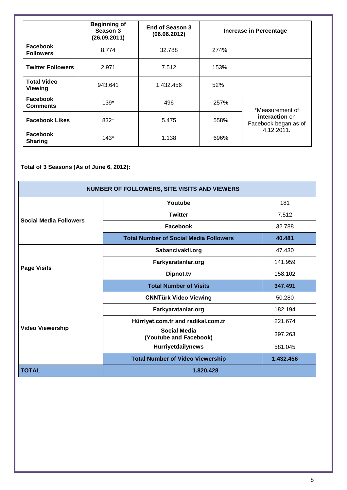|                                      | <b>Beginning of</b><br>Season 3<br>(26.09.2011) | End of Season 3<br>(06.06.2012) | <b>Increase in Percentage</b> |                                                      |  |
|--------------------------------------|-------------------------------------------------|---------------------------------|-------------------------------|------------------------------------------------------|--|
| Facebook<br><b>Followers</b>         | 8.774                                           | 32.788                          | 274%                          |                                                      |  |
| <b>Twitter Followers</b>             | 2.971                                           | 7.512                           | 153%                          |                                                      |  |
| <b>Total Video</b><br><b>Viewing</b> | 943.641                                         | 1.432.456                       | 52%                           |                                                      |  |
| Facebook<br><b>Comments</b>          | 139*                                            | 496                             | 257%                          | *Measurement of                                      |  |
| <b>Facebook Likes</b>                | 832*                                            | 5.475                           | 558%                          | interaction on<br>Facebook began as of<br>4.12.2011. |  |
| Facebook<br><b>Sharing</b>           | $143*$                                          | 1.138                           | 696%                          |                                                      |  |

**Total of 3 Seasons (As of June 6, 2012):** 

| <b>NUMBER OF FOLLOWERS, SITE VISITS AND VIEWERS</b> |                                               |           |  |  |  |  |
|-----------------------------------------------------|-----------------------------------------------|-----------|--|--|--|--|
|                                                     | Youtube                                       | 181       |  |  |  |  |
| <b>Social Media Followers</b>                       | <b>Twitter</b>                                | 7.512     |  |  |  |  |
|                                                     | Facebook                                      | 32.788    |  |  |  |  |
|                                                     | <b>Total Number of Social Media Followers</b> | 40.481    |  |  |  |  |
|                                                     | Sabancivakfi.org                              | 47.430    |  |  |  |  |
| <b>Page Visits</b>                                  | Farkyaratanlar.org                            | 141.959   |  |  |  |  |
|                                                     | Dipnot.tv                                     | 158.102   |  |  |  |  |
|                                                     | <b>Total Number of Visits</b>                 | 347.491   |  |  |  |  |
|                                                     | <b>CNNTürk Video Viewing</b>                  | 50.280    |  |  |  |  |
|                                                     | Farkyaratanlar.org                            | 182.194   |  |  |  |  |
|                                                     | Hürriyet.com.tr and radikal.com.tr            | 221.674   |  |  |  |  |
| <b>Video Viewership</b>                             | <b>Social Media</b><br>(Youtube and Facebook) | 397.263   |  |  |  |  |
|                                                     | <b>Hurriyetdailynews</b>                      | 581.045   |  |  |  |  |
|                                                     | <b>Total Number of Video Viewership</b>       | 1.432.456 |  |  |  |  |
| <b>TOTAL</b>                                        | 1.820.428                                     |           |  |  |  |  |